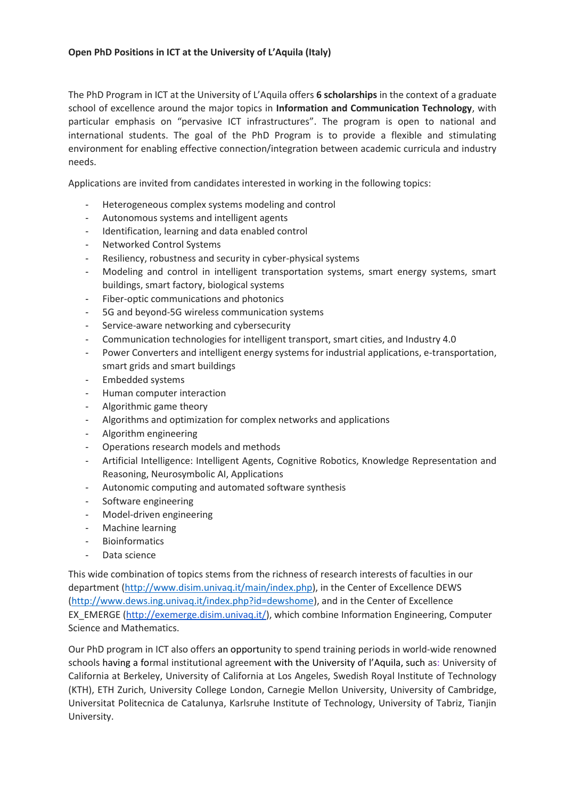## **Open PhD Positions in ICT at the University of L'Aquila (Italy)**

The PhD Program in ICT at the University of L'Aquila offers **6 scholarships** in the context of a graduate school of excellence around the major topics in **Information and Communication Technology**, with particular emphasis on "pervasive ICT infrastructures". The program is open to national and international students. The goal of the PhD Program is to provide a flexible and stimulating environment for enabling effective connection/integration between academic curricula and industry needs.

Applications are invited from candidates interested in working in the following topics:

- Heterogeneous complex systems modeling and control
- Autonomous systems and intelligent agents
- Identification, learning and data enabled control
- Networked Control Systems
- Resiliency, robustness and security in cyber-physical systems
- Modeling and control in intelligent transportation systems, smart energy systems, smart buildings, smart factory, biological systems
- Fiber-optic communications and photonics
- 5G and beyond-5G wireless communication systems
- Service-aware networking and cybersecurity
- Communication technologies for intelligent transport, smart cities, and Industry 4.0
- Power Converters and intelligent energy systems for industrial applications, e-transportation, smart grids and smart buildings
- Embedded systems
- Human computer interaction
- Algorithmic game theory
- Algorithms and optimization for complex networks and applications
- Algorithm engineering
- Operations research models and methods
- Artificial Intelligence: Intelligent Agents, Cognitive Robotics, Knowledge Representation and Reasoning, Neurosymbolic AI, Applications
- Autonomic computing and automated software synthesis
- Software engineering
- Model-driven engineering
- Machine learning
- **Bioinformatics**
- Data science

This wide combination of topics stems from the richness of research interests of faculties in our department [\(http://www.disim.univaq.it/main/index.php\)](http://www.disim.univaq.it/main/index.php), in the Center of Excellence DEWS [\(http://www.dews.ing.univaq.it/index.php?id=dewshome\)](http://www.dews.ing.univaq.it/index.php?id=dewshome), and in the Center of Excellence EX\_EMERGE [\(http://exemerge.disim.univaq.it/\)](http://exemerge.disim.univaq.it/), which combine Information Engineering, Computer Science and Mathematics.

Our PhD program in ICT also offers an opportunity to spend training periods in world-wide renowned schools having a formal institutional agreement with the University of l'Aquila, such as: University of California at Berkeley, University of California at Los Angeles, Swedish Royal Institute of Technology (KTH), ETH Zurich, University College London, Carnegie Mellon University, University of Cambridge, Universitat Politecnica de Catalunya, Karlsruhe Institute of Technology, University of Tabriz, Tianjin University.